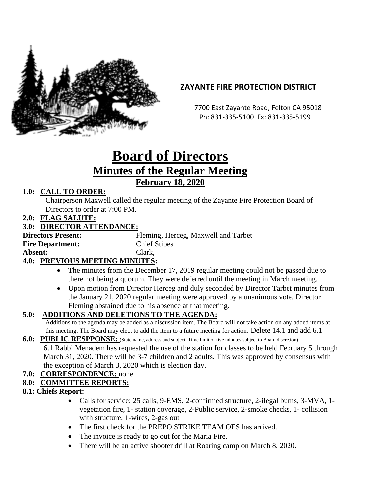

# **ZAYANTE FIRE PROTECTION DISTRICT**

 7700 East Zayante Road, Felton CA 95018 Ph: 831-335-5100 Fx: 831-335-5199

# **Board of Directors Minutes of the Regular Meeting February 18, 2020**

#### **1.0: CALL TO ORDER:**

Chairperson Maxwell called the regular meeting of the Zayante Fire Protection Board of Directors to order at 7:00 PM.

#### **2.0: FLAG SALUTE:**

#### **3.0: DIRECTOR ATTENDANCE:**

| <b>Directors Present:</b> | Fleming, Herceg, Maxwell and Tarbet |
|---------------------------|-------------------------------------|
| <b>Fire Department:</b>   | <b>Chief Stipes</b>                 |
| Absent:                   | Clark,                              |
| DREILAIO LIBRELLA LINIUMA |                                     |

# **4.0: PREVIOUS MEETING MINUTES:**

- The minutes from the December 17, 2019 regular meeting could not be passed due to there not being a quorum. They were deferred until the meeting in March meeting.
- Upon motion from Director Herceg and duly seconded by Director Tarbet minutes from the January 21, 2020 regular meeting were approved by a unanimous vote. Director Fleming abstained due to his absence at that meeting.

# **5.0: ADDITIONS AND DELETIONS TO THE AGENDA:**

Additions to the agenda may be added as a discussion item. The Board will not take action on any added items at this meeting. The Board may elect to add the item to a future meeting for action. Delete 14.1 and add 6.1

- **6.0: PUBLIC RESPPONSE:** (State name, address and subject. Time limit of five minutes subject to Board discretion) 6.1 Rabbi Menadem has requested the use of the station for classes to be held February 5 through March 31, 2020. There will be 3-7 children and 2 adults. This was approved by consensus with the exception of March 3, 2020 which is election day.
- **7.0: CORRESPONDENCE:** none

#### **8.0: COMMITTEE REPORTS:**

- **8.1: Chiefs Report:**
	- Calls for service: 25 calls, 9-EMS, 2-confirmed structure, 2-ilegal burns, 3-MVA, 1vegetation fire, 1- station coverage, 2-Public service, 2-smoke checks, 1- collision with structure, 1-wires, 2-gas out
	- The first check for the PREPO STRIKE TEAM OES has arrived.
	- The invoice is ready to go out for the Maria Fire.
	- There will be an active shooter drill at Roaring camp on March 8, 2020.